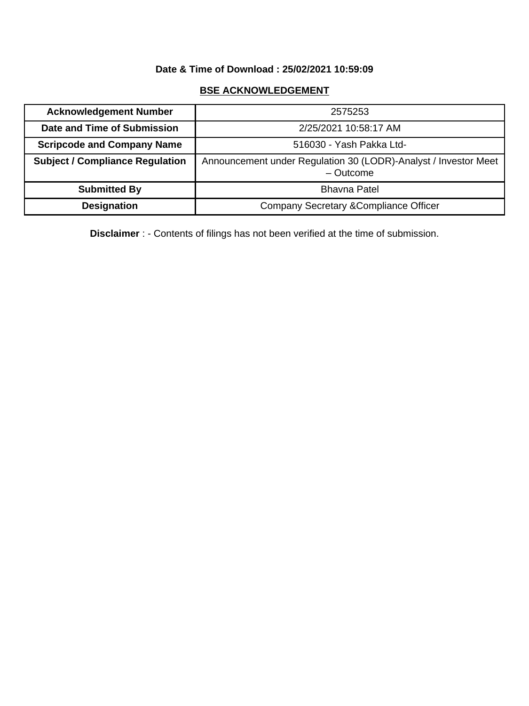## **Date & Time of Download : 25/02/2021 10:59:09**

### **BSE ACKNOWLEDGEMENT**

| <b>Acknowledgement Number</b>          | 2575253                                                                        |
|----------------------------------------|--------------------------------------------------------------------------------|
| Date and Time of Submission            | 2/25/2021 10:58:17 AM                                                          |
| <b>Scripcode and Company Name</b>      | 516030 - Yash Pakka Ltd-                                                       |
| <b>Subject / Compliance Regulation</b> | Announcement under Regulation 30 (LODR)-Analyst / Investor Meet<br>$-$ Outcome |
| <b>Submitted By</b>                    | <b>Bhavna Patel</b>                                                            |
| <b>Designation</b>                     | <b>Company Secretary &amp; Compliance Officer</b>                              |

**Disclaimer** : - Contents of filings has not been verified at the time of submission.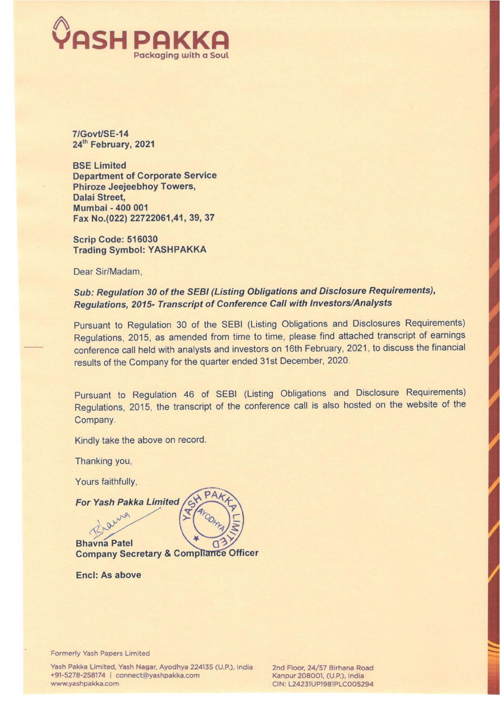

7IGovt/SE-14 24" February, 2021

BSE Limited Department of Corporate Service Phiroze Jeejeebhoy Towers, Dalai Street, Mumbai - 400 001 Fax No.(022) 22722061,41, 39, 37

Scrip Code: 516030 Trading Symbol: YASHPAKKA

Dear Sir/Madam,

### Sub: Regulation 30 of the SEBI (Listing Obligations and Disclosure Requirements), Regulations, 2015- Transcript of Conference Call with Investors/Analysts

Pursuant to Regulation 30 of the SEBI (Listing Obligations and Disclosures Requirements) Regulations, 2015, as amended from time to time, please find attached transcript of earnings conference call held with analysts and investors on 16th February, 2021, to discuss the financial results of the Company for the quarter ended 31st December, 2020.

Pursuant to Regulation 46 of SEBI (Listing Obligations and Disclosure Requirements) Regulations, 2015, the transcript of the conference call is also hosted on the website of the Company.

Kindly take the above on record.

Thanking you,

Yours faithfully,

Laura

For Yash Pakka Limited

Bhavna Patel ิด **Company Secretary & Compliance Officer** 

 $\overline{a}$ 

 $\epsilon$ 

Encl: As above

Formerly Yash Papers Limited

Yash Pakka Limited, Yash Nagar, Ayodhya 224135 (U.P.), India 2nd Floor, 24/57 Birhana Road +91-5278-258174 | connect@yashpakka.com Kanpur 208001, (U.P.), India www.yashpakka.com CIN: L24231UP1981PLC005294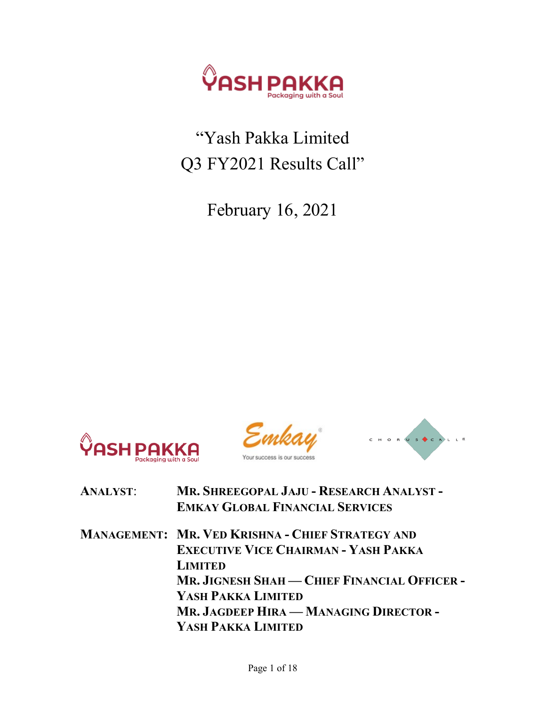

## "Yash Pakka Limited Q3 FY2021 Results Call"

February 16, 2021







| <b>ANALYST:</b> | MR. SHREEGOPAL JAJU - RESEARCH ANALYST - |
|-----------------|------------------------------------------|
|                 | <b>EMKAY GLOBAL FINANCIAL SERVICES</b>   |

MANAGEMENT: MR. VED KRISHNA - CHIEF STRATEGY AND EXECUTIVE VICE CHAIRMAN - YASH PAKKA LIMITED MR. JIGNESH SHAH — CHIEF FINANCIAL OFFICER - YASH PAKKA LIMITED MR. JAGDEEP HIRA — MANAGING DIRECTOR - YASH PAKKA LIMITED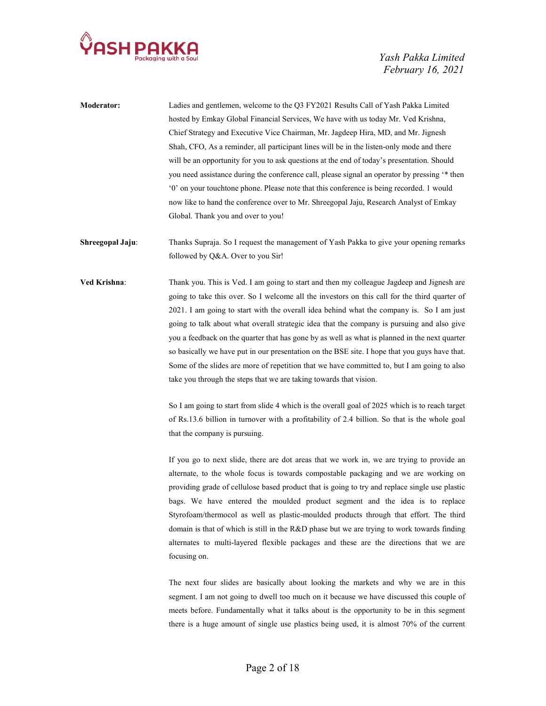

| <b>Moderator:</b> | Ladies and gentlemen, welcome to the Q3 FY2021 Results Call of Yash Pakka Limited              |
|-------------------|------------------------------------------------------------------------------------------------|
|                   | hosted by Emkay Global Financial Services, We have with us today Mr. Ved Krishna,              |
|                   | Chief Strategy and Executive Vice Chairman, Mr. Jagdeep Hira, MD, and Mr. Jignesh              |
|                   | Shah, CFO, As a reminder, all participant lines will be in the listen-only mode and there      |
|                   | will be an opportunity for you to ask questions at the end of today's presentation. Should     |
|                   | you need assistance during the conference call, please signal an operator by pressing '* then  |
|                   | '0' on your touchtone phone. Please note that this conference is being recorded. 1 would       |
|                   | now like to hand the conference over to Mr. Shreegopal Jaju, Research Analyst of Emkay         |
|                   | Global. Thank you and over to you!                                                             |
| Shreegopal Jaju:  | Thanks Supraja. So I request the management of Yash Pakka to give your opening remarks         |
|                   | followed by Q&A. Over to you Sir!                                                              |
| Ved Krishna:      | Thank you. This is Ved. I am going to start and then my colleague Jagdeep and Jignesh are      |
|                   | going to take this over. So I welcome all the investors on this call for the third quarter of  |
|                   | 2021. I am going to start with the overall idea behind what the company is. So I am just       |
|                   | going to talk about what overall strategic idea that the company is pursuing and also give     |
|                   | you a feedback on the quarter that has gone by as well as what is planned in the next quarter  |
|                   | so basically we have put in our presentation on the BSE site. I hope that you guys have that.  |
|                   | Some of the slides are more of repetition that we have committed to, but I am going to also    |
|                   | take you through the steps that we are taking towards that vision.                             |
|                   | So I am going to start from slide 4 which is the overall goal of 2025 which is to reach target |
|                   |                                                                                                |

of Rs.13.6 billion in turnover with a profitability of 2.4 billion. So that is the whole goal that the company is pursuing.

 If you go to next slide, there are dot areas that we work in, we are trying to provide an alternate, to the whole focus is towards compostable packaging and we are working on providing grade of cellulose based product that is going to try and replace single use plastic bags. We have entered the moulded product segment and the idea is to replace Styrofoam/thermocol as well as plastic-moulded products through that effort. The third domain is that of which is still in the R&D phase but we are trying to work towards finding alternates to multi-layered flexible packages and these are the directions that we are focusing on.

 The next four slides are basically about looking the markets and why we are in this segment. I am not going to dwell too much on it because we have discussed this couple of meets before. Fundamentally what it talks about is the opportunity to be in this segment there is a huge amount of single use plastics being used, it is almost 70% of the current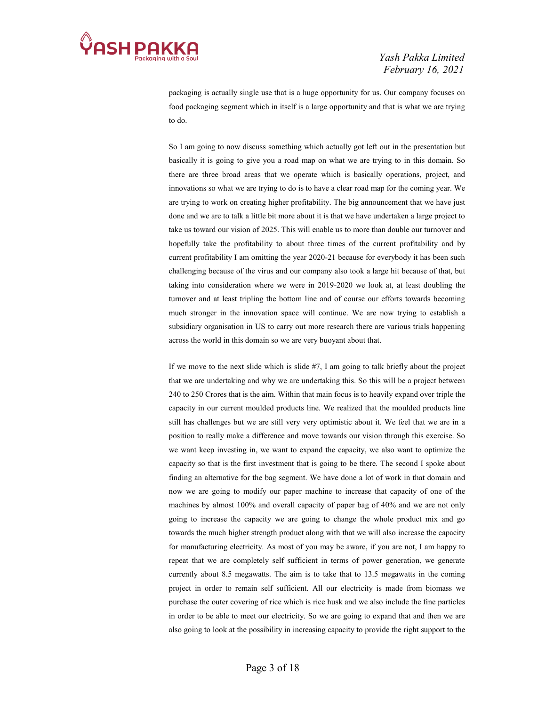

packaging is actually single use that is a huge opportunity for us. Our company focuses on food packaging segment which in itself is a large opportunity and that is what we are trying to do.

 So I am going to now discuss something which actually got left out in the presentation but basically it is going to give you a road map on what we are trying to in this domain. So there are three broad areas that we operate which is basically operations, project, and innovations so what we are trying to do is to have a clear road map for the coming year. We are trying to work on creating higher profitability. The big announcement that we have just done and we are to talk a little bit more about it is that we have undertaken a large project to take us toward our vision of 2025. This will enable us to more than double our turnover and hopefully take the profitability to about three times of the current profitability and by current profitability I am omitting the year 2020-21 because for everybody it has been such challenging because of the virus and our company also took a large hit because of that, but taking into consideration where we were in 2019-2020 we look at, at least doubling the turnover and at least tripling the bottom line and of course our efforts towards becoming much stronger in the innovation space will continue. We are now trying to establish a subsidiary organisation in US to carry out more research there are various trials happening across the world in this domain so we are very buoyant about that.

 If we move to the next slide which is slide #7, I am going to talk briefly about the project that we are undertaking and why we are undertaking this. So this will be a project between 240 to 250 Crores that is the aim. Within that main focus is to heavily expand over triple the capacity in our current moulded products line. We realized that the moulded products line still has challenges but we are still very very optimistic about it. We feel that we are in a position to really make a difference and move towards our vision through this exercise. So we want keep investing in, we want to expand the capacity, we also want to optimize the capacity so that is the first investment that is going to be there. The second I spoke about finding an alternative for the bag segment. We have done a lot of work in that domain and now we are going to modify our paper machine to increase that capacity of one of the machines by almost 100% and overall capacity of paper bag of 40% and we are not only going to increase the capacity we are going to change the whole product mix and go towards the much higher strength product along with that we will also increase the capacity for manufacturing electricity. As most of you may be aware, if you are not, I am happy to repeat that we are completely self sufficient in terms of power generation, we generate currently about 8.5 megawatts. The aim is to take that to 13.5 megawatts in the coming project in order to remain self sufficient. All our electricity is made from biomass we purchase the outer covering of rice which is rice husk and we also include the fine particles in order to be able to meet our electricity. So we are going to expand that and then we are also going to look at the possibility in increasing capacity to provide the right support to the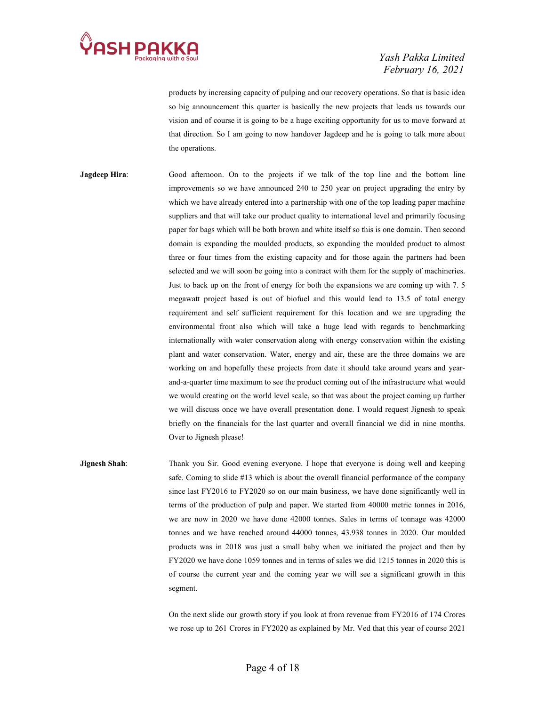

products by increasing capacity of pulping and our recovery operations. So that is basic idea so big announcement this quarter is basically the new projects that leads us towards our vision and of course it is going to be a huge exciting opportunity for us to move forward at that direction. So I am going to now handover Jagdeep and he is going to talk more about the operations.

Jagdeep Hira: Good afternoon. On to the projects if we talk of the top line and the bottom line improvements so we have announced 240 to 250 year on project upgrading the entry by which we have already entered into a partnership with one of the top leading paper machine suppliers and that will take our product quality to international level and primarily focusing paper for bags which will be both brown and white itself so this is one domain. Then second domain is expanding the moulded products, so expanding the moulded product to almost three or four times from the existing capacity and for those again the partners had been selected and we will soon be going into a contract with them for the supply of machineries. Just to back up on the front of energy for both the expansions we are coming up with 7. 5 megawatt project based is out of biofuel and this would lead to 13.5 of total energy requirement and self sufficient requirement for this location and we are upgrading the environmental front also which will take a huge lead with regards to benchmarking internationally with water conservation along with energy conservation within the existing plant and water conservation. Water, energy and air, these are the three domains we are working on and hopefully these projects from date it should take around years and yearand-a-quarter time maximum to see the product coming out of the infrastructure what would we would creating on the world level scale, so that was about the project coming up further we will discuss once we have overall presentation done. I would request Jignesh to speak briefly on the financials for the last quarter and overall financial we did in nine months. Over to Jignesh please!

**Jignesh Shah:** Thank you Sir. Good evening everyone. I hope that everyone is doing well and keeping safe. Coming to slide #13 which is about the overall financial performance of the company since last FY2016 to FY2020 so on our main business, we have done significantly well in terms of the production of pulp and paper. We started from 40000 metric tonnes in 2016, we are now in 2020 we have done 42000 tonnes. Sales in terms of tonnage was 42000 tonnes and we have reached around 44000 tonnes, 43.938 tonnes in 2020. Our moulded products was in 2018 was just a small baby when we initiated the project and then by FY2020 we have done 1059 tonnes and in terms of sales we did 1215 tonnes in 2020 this is of course the current year and the coming year we will see a significant growth in this segment.

> On the next slide our growth story if you look at from revenue from FY2016 of 174 Crores we rose up to 261 Crores in FY2020 as explained by Mr. Ved that this year of course 2021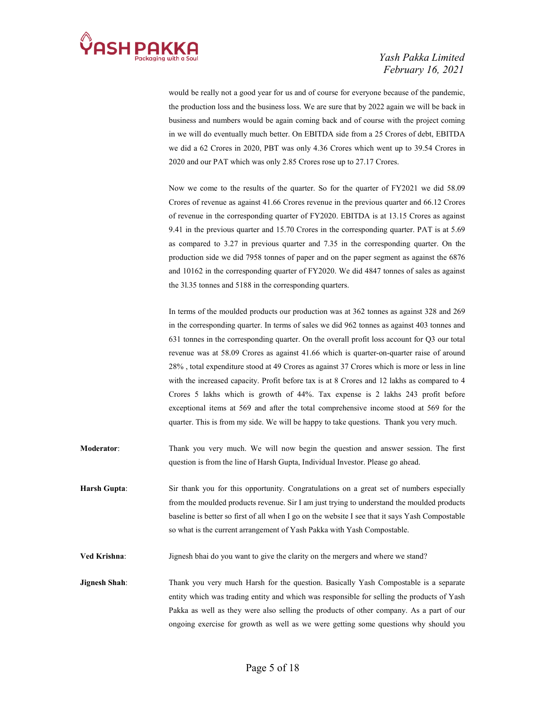

would be really not a good year for us and of course for everyone because of the pandemic, the production loss and the business loss. We are sure that by 2022 again we will be back in business and numbers would be again coming back and of course with the project coming in we will do eventually much better. On EBITDA side from a 25 Crores of debt, EBITDA we did a 62 Crores in 2020, PBT was only 4.36 Crores which went up to 39.54 Crores in 2020 and our PAT which was only 2.85 Crores rose up to 27.17 Crores.

 Now we come to the results of the quarter. So for the quarter of FY2021 we did 58.09 Crores of revenue as against 41.66 Crores revenue in the previous quarter and 66.12 Crores of revenue in the corresponding quarter of FY2020. EBITDA is at 13.15 Crores as against 9.41 in the previous quarter and 15.70 Crores in the corresponding quarter. PAT is at 5.69 as compared to 3.27 in previous quarter and 7.35 in the corresponding quarter. On the production side we did 7958 tonnes of paper and on the paper segment as against the 6876 and 10162 in the corresponding quarter of FY2020. We did 4847 tonnes of sales as against the 3l.35 tonnes and 5188 in the corresponding quarters.

 In terms of the moulded products our production was at 362 tonnes as against 328 and 269 in the corresponding quarter. In terms of sales we did 962 tonnes as against 403 tonnes and 631 tonnes in the corresponding quarter. On the overall profit loss account for Q3 our total revenue was at 58.09 Crores as against 41.66 which is quarter-on-quarter raise of around 28% , total expenditure stood at 49 Crores as against 37 Crores which is more or less in line with the increased capacity. Profit before tax is at 8 Crores and 12 lakhs as compared to 4 Crores 5 lakhs which is growth of 44%. Tax expense is 2 lakhs 243 profit before exceptional items at 569 and after the total comprehensive income stood at 569 for the quarter. This is from my side. We will be happy to take questions. Thank you very much.

- Moderator: Thank you very much. We will now begin the question and answer session. The first question is from the line of Harsh Gupta, Individual Investor. Please go ahead.
- Harsh Gupta: Sir thank you for this opportunity. Congratulations on a great set of numbers especially from the moulded products revenue. Sir I am just trying to understand the moulded products baseline is better so first of all when I go on the website I see that it says Yash Compostable so what is the current arrangement of Yash Pakka with Yash Compostable.
- Ved Krishna: Jignesh bhai do you want to give the clarity on the mergers and where we stand?
- Jignesh Shah: Thank you very much Harsh for the question. Basically Yash Compostable is a separate entity which was trading entity and which was responsible for selling the products of Yash Pakka as well as they were also selling the products of other company. As a part of our ongoing exercise for growth as well as we were getting some questions why should you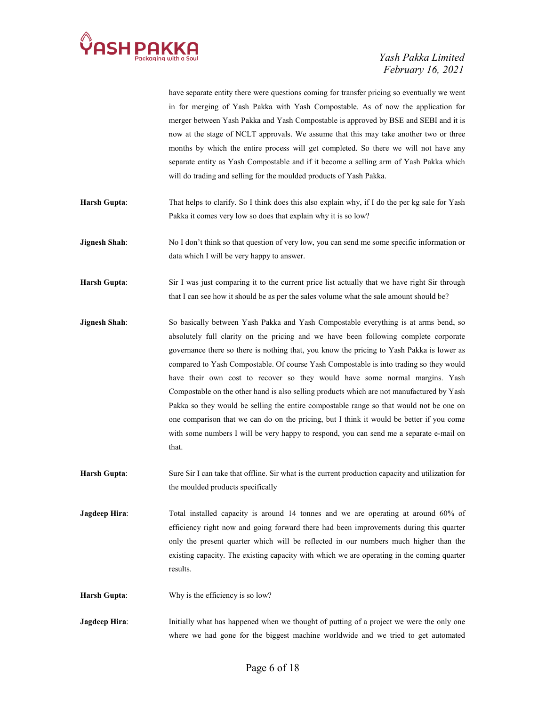

have separate entity there were questions coming for transfer pricing so eventually we went in for merging of Yash Pakka with Yash Compostable. As of now the application for merger between Yash Pakka and Yash Compostable is approved by BSE and SEBI and it is now at the stage of NCLT approvals. We assume that this may take another two or three months by which the entire process will get completed. So there we will not have any separate entity as Yash Compostable and if it become a selling arm of Yash Pakka which will do trading and selling for the moulded products of Yash Pakka. Harsh Gupta: That helps to clarify. So I think does this also explain why, if I do the per kg sale for Yash Pakka it comes very low so does that explain why it is so low? **Jignesh Shah:** No I don't think so that question of very low, you can send me some specific information or data which I will be very happy to answer. Harsh Gupta: Sir I was just comparing it to the current price list actually that we have right Sir through that I can see how it should be as per the sales volume what the sale amount should be? Jignesh Shah: So basically between Yash Pakka and Yash Compostable everything is at arms bend, so absolutely full clarity on the pricing and we have been following complete corporate governance there so there is nothing that, you know the pricing to Yash Pakka is lower as compared to Yash Compostable. Of course Yash Compostable is into trading so they would have their own cost to recover so they would have some normal margins. Yash Compostable on the other hand is also selling products which are not manufactured by Yash Pakka so they would be selling the entire compostable range so that would not be one on one comparison that we can do on the pricing, but I think it would be better if you come with some numbers I will be very happy to respond, you can send me a separate e-mail on that. Harsh Gupta: Sure Sir I can take that offline. Sir what is the current production capacity and utilization for the moulded products specifically Jagdeep Hira: Total installed capacity is around 14 tonnes and we are operating at around 60% of efficiency right now and going forward there had been improvements during this quarter

only the present quarter which will be reflected in our numbers much higher than the existing capacity. The existing capacity with which we are operating in the coming quarter results.

Harsh Gupta: Why is the efficiency is so low?

Jagdeep Hira: Initially what has happened when we thought of putting of a project we were the only one where we had gone for the biggest machine worldwide and we tried to get automated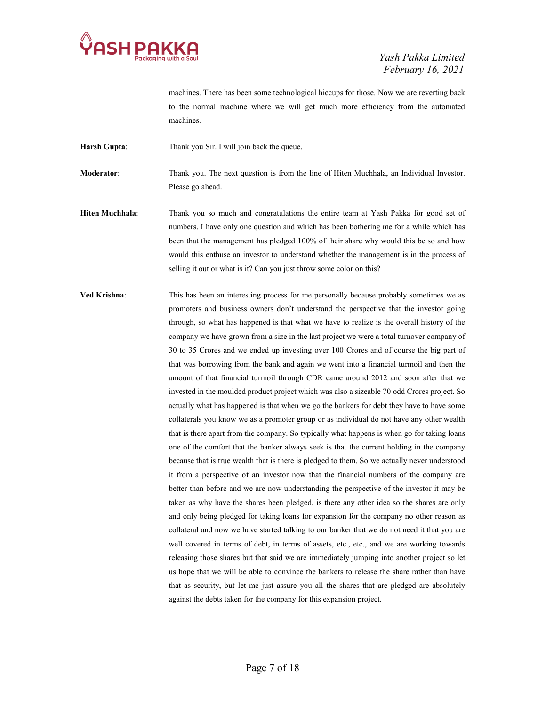

machines. There has been some technological hiccups for those. Now we are reverting back to the normal machine where we will get much more efficiency from the automated machines.

Harsh Gupta: Thank you Sir. I will join back the queue.

Moderator: Thank you. The next question is from the line of Hiten Muchhala, an Individual Investor. Please go ahead.

Hiten Muchhala: Thank you so much and congratulations the entire team at Yash Pakka for good set of numbers. I have only one question and which has been bothering me for a while which has been that the management has pledged 100% of their share why would this be so and how would this enthuse an investor to understand whether the management is in the process of selling it out or what is it? Can you just throw some color on this?

Ved Krishna: This has been an interesting process for me personally because probably sometimes we as promoters and business owners don't understand the perspective that the investor going through, so what has happened is that what we have to realize is the overall history of the company we have grown from a size in the last project we were a total turnover company of 30 to 35 Crores and we ended up investing over 100 Crores and of course the big part of that was borrowing from the bank and again we went into a financial turmoil and then the amount of that financial turmoil through CDR came around 2012 and soon after that we invested in the moulded product project which was also a sizeable 70 odd Crores project. So actually what has happened is that when we go the bankers for debt they have to have some collaterals you know we as a promoter group or as individual do not have any other wealth that is there apart from the company. So typically what happens is when go for taking loans one of the comfort that the banker always seek is that the current holding in the company because that is true wealth that is there is pledged to them. So we actually never understood it from a perspective of an investor now that the financial numbers of the company are better than before and we are now understanding the perspective of the investor it may be taken as why have the shares been pledged, is there any other idea so the shares are only and only being pledged for taking loans for expansion for the company no other reason as collateral and now we have started talking to our banker that we do not need it that you are well covered in terms of debt, in terms of assets, etc., etc., and we are working towards releasing those shares but that said we are immediately jumping into another project so let us hope that we will be able to convince the bankers to release the share rather than have that as security, but let me just assure you all the shares that are pledged are absolutely against the debts taken for the company for this expansion project.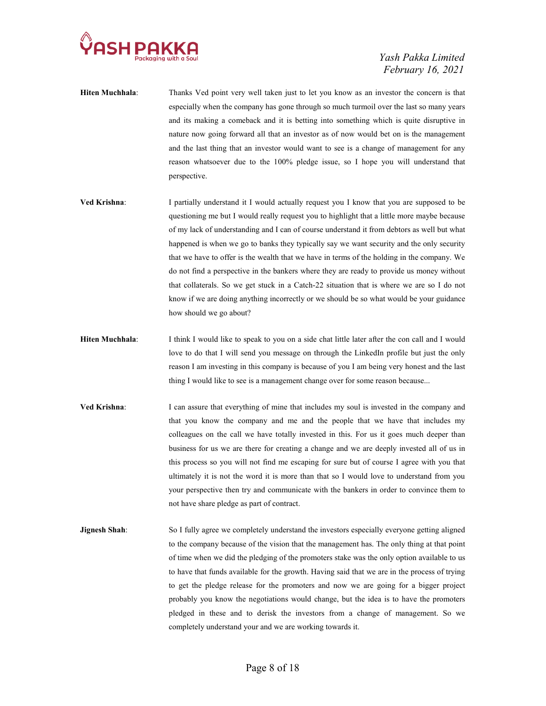

- Hiten Muchhala: Thanks Ved point very well taken just to let you know as an investor the concern is that especially when the company has gone through so much turmoil over the last so many years and its making a comeback and it is betting into something which is quite disruptive in nature now going forward all that an investor as of now would bet on is the management and the last thing that an investor would want to see is a change of management for any reason whatsoever due to the 100% pledge issue, so I hope you will understand that perspective.
- Ved Krishna: I partially understand it I would actually request you I know that you are supposed to be questioning me but I would really request you to highlight that a little more maybe because of my lack of understanding and I can of course understand it from debtors as well but what happened is when we go to banks they typically say we want security and the only security that we have to offer is the wealth that we have in terms of the holding in the company. We do not find a perspective in the bankers where they are ready to provide us money without that collaterals. So we get stuck in a Catch-22 situation that is where we are so I do not know if we are doing anything incorrectly or we should be so what would be your guidance how should we go about?
- Hiten Muchhala: I think I would like to speak to you on a side chat little later after the con call and I would love to do that I will send you message on through the LinkedIn profile but just the only reason I am investing in this company is because of you I am being very honest and the last thing I would like to see is a management change over for some reason because...
- Ved Krishna: I can assure that everything of mine that includes my soul is invested in the company and that you know the company and me and the people that we have that includes my colleagues on the call we have totally invested in this. For us it goes much deeper than business for us we are there for creating a change and we are deeply invested all of us in this process so you will not find me escaping for sure but of course I agree with you that ultimately it is not the word it is more than that so I would love to understand from you your perspective then try and communicate with the bankers in order to convince them to not have share pledge as part of contract.
- **Jignesh Shah:** So I fully agree we completely understand the investors especially everyone getting aligned to the company because of the vision that the management has. The only thing at that point of time when we did the pledging of the promoters stake was the only option available to us to have that funds available for the growth. Having said that we are in the process of trying to get the pledge release for the promoters and now we are going for a bigger project probably you know the negotiations would change, but the idea is to have the promoters pledged in these and to derisk the investors from a change of management. So we completely understand your and we are working towards it.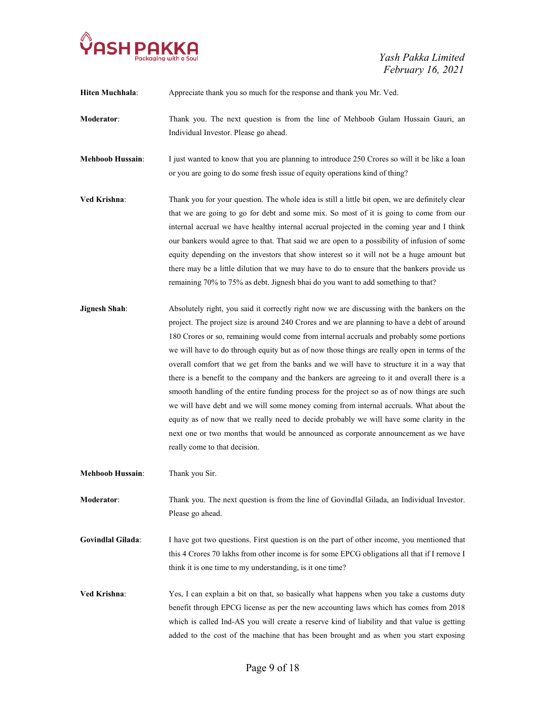

| Hiten Muchhala:          | Appreciate thank you so much for the response and thank you Mr. Ved.                                                                                                                                                                                                                                                                                                                                                                                                                                                                                                                                                                                                                                                                                                                                                                                                                                                                                                                           |
|--------------------------|------------------------------------------------------------------------------------------------------------------------------------------------------------------------------------------------------------------------------------------------------------------------------------------------------------------------------------------------------------------------------------------------------------------------------------------------------------------------------------------------------------------------------------------------------------------------------------------------------------------------------------------------------------------------------------------------------------------------------------------------------------------------------------------------------------------------------------------------------------------------------------------------------------------------------------------------------------------------------------------------|
| Moderator:               | Thank you. The next question is from the line of Mehboob Gulam Hussain Gauri, an<br>Individual Investor. Please go ahead.                                                                                                                                                                                                                                                                                                                                                                                                                                                                                                                                                                                                                                                                                                                                                                                                                                                                      |
| <b>Mehboob Hussain:</b>  | I just wanted to know that you are planning to introduce 250 Crores so will it be like a loan<br>or you are going to do some fresh issue of equity operations kind of thing?                                                                                                                                                                                                                                                                                                                                                                                                                                                                                                                                                                                                                                                                                                                                                                                                                   |
| Ved Krishna:             | Thank you for your question. The whole idea is still a little bit open, we are definitely clear<br>that we are going to go for debt and some mix. So most of it is going to come from our<br>internal accrual we have healthy internal accrual projected in the coming year and I think<br>our bankers would agree to that. That said we are open to a possibility of infusion of some<br>equity depending on the investors that show interest so it will not be a huge amount but<br>there may be a little dilution that we may have to do to ensure that the bankers provide us<br>remaining 70% to 75% as debt. Jignesh bhai do you want to add something to that?                                                                                                                                                                                                                                                                                                                          |
| <b>Jignesh Shah:</b>     | Absolutely right, you said it correctly right now we are discussing with the bankers on the<br>project. The project size is around 240 Crores and we are planning to have a debt of around<br>180 Crores or so, remaining would come from internal accruals and probably some portions<br>we will have to do through equity but as of now those things are really open in terms of the<br>overall comfort that we get from the banks and we will have to structure it in a way that<br>there is a benefit to the company and the bankers are agreeing to it and overall there is a<br>smooth handling of the entire funding process for the project so as of now things are such<br>we will have debt and we will some money coming from internal accruals. What about the<br>equity as of now that we really need to decide probably we will have some clarity in the<br>next one or two months that would be announced as corporate announcement as we have<br>really come to that decision. |
| <b>Mehboob Hussain:</b>  | Thank you Sir.                                                                                                                                                                                                                                                                                                                                                                                                                                                                                                                                                                                                                                                                                                                                                                                                                                                                                                                                                                                 |
| Moderator:               | Thank you. The next question is from the line of Govindlal Gilada, an Individual Investor.<br>Please go ahead.                                                                                                                                                                                                                                                                                                                                                                                                                                                                                                                                                                                                                                                                                                                                                                                                                                                                                 |
| <b>Govindlal Gilada:</b> | I have got two questions. First question is on the part of other income, you mentioned that<br>this 4 Crores 70 lakhs from other income is for some EPCG obligations all that if I remove I<br>think it is one time to my understanding, is it one time?                                                                                                                                                                                                                                                                                                                                                                                                                                                                                                                                                                                                                                                                                                                                       |
| Ved Krishna:             | Yes, I can explain a bit on that, so basically what happens when you take a customs duty<br>benefit through EPCG license as per the new accounting laws which has comes from 2018                                                                                                                                                                                                                                                                                                                                                                                                                                                                                                                                                                                                                                                                                                                                                                                                              |

which is called Ind-AS you will create a reserve kind of liability and that value is getting added to the cost of the machine that has been brought and as when you start exposing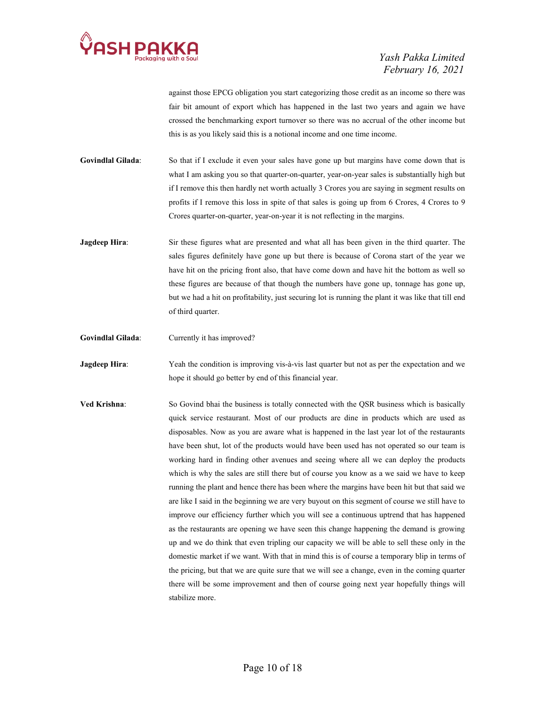

against those EPCG obligation you start categorizing those credit as an income so there was fair bit amount of export which has happened in the last two years and again we have crossed the benchmarking export turnover so there was no accrual of the other income but this is as you likely said this is a notional income and one time income.

Govindlal Gilada: So that if I exclude it even your sales have gone up but margins have come down that is what I am asking you so that quarter-on-quarter, year-on-year sales is substantially high but if I remove this then hardly net worth actually 3 Crores you are saying in segment results on profits if I remove this loss in spite of that sales is going up from 6 Crores, 4 Crores to 9 Crores quarter-on-quarter, year-on-year it is not reflecting in the margins.

**Jagdeep Hira:** Sir these figures what are presented and what all has been given in the third quarter. The sales figures definitely have gone up but there is because of Corona start of the year we have hit on the pricing front also, that have come down and have hit the bottom as well so these figures are because of that though the numbers have gone up, tonnage has gone up, but we had a hit on profitability, just securing lot is running the plant it was like that till end of third quarter.

Govindlal Gilada: Currently it has improved?

**Jagdeep Hira:** Yeah the condition is improving vis-à-vis last quarter but not as per the expectation and we hope it should go better by end of this financial year.

Ved Krishna: So Govind bhai the business is totally connected with the QSR business which is basically quick service restaurant. Most of our products are dine in products which are used as disposables. Now as you are aware what is happened in the last year lot of the restaurants have been shut, lot of the products would have been used has not operated so our team is working hard in finding other avenues and seeing where all we can deploy the products which is why the sales are still there but of course you know as a we said we have to keep running the plant and hence there has been where the margins have been hit but that said we are like I said in the beginning we are very buyout on this segment of course we still have to improve our efficiency further which you will see a continuous uptrend that has happened as the restaurants are opening we have seen this change happening the demand is growing up and we do think that even tripling our capacity we will be able to sell these only in the domestic market if we want. With that in mind this is of course a temporary blip in terms of the pricing, but that we are quite sure that we will see a change, even in the coming quarter there will be some improvement and then of course going next year hopefully things will stabilize more.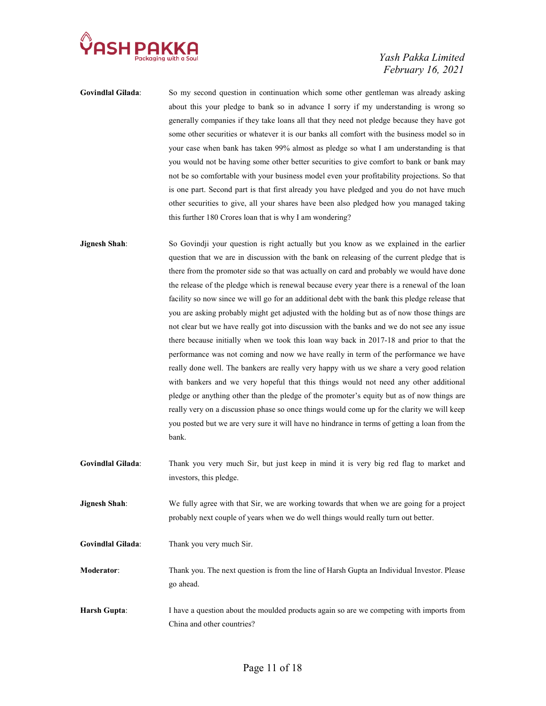

- Govindlal Gilada: So my second question in continuation which some other gentleman was already asking about this your pledge to bank so in advance I sorry if my understanding is wrong so generally companies if they take loans all that they need not pledge because they have got some other securities or whatever it is our banks all comfort with the business model so in your case when bank has taken 99% almost as pledge so what I am understanding is that you would not be having some other better securities to give comfort to bank or bank may not be so comfortable with your business model even your profitability projections. So that is one part. Second part is that first already you have pledged and you do not have much other securities to give, all your shares have been also pledged how you managed taking this further 180 Crores loan that is why I am wondering?
- **Jignesh Shah:** So Govindji your question is right actually but you know as we explained in the earlier question that we are in discussion with the bank on releasing of the current pledge that is there from the promoter side so that was actually on card and probably we would have done the release of the pledge which is renewal because every year there is a renewal of the loan facility so now since we will go for an additional debt with the bank this pledge release that you are asking probably might get adjusted with the holding but as of now those things are not clear but we have really got into discussion with the banks and we do not see any issue there because initially when we took this loan way back in 2017-18 and prior to that the performance was not coming and now we have really in term of the performance we have really done well. The bankers are really very happy with us we share a very good relation with bankers and we very hopeful that this things would not need any other additional pledge or anything other than the pledge of the promoter's equity but as of now things are really very on a discussion phase so once things would come up for the clarity we will keep you posted but we are very sure it will have no hindrance in terms of getting a loan from the bank.
- Govindlal Gilada: Thank you very much Sir, but just keep in mind it is very big red flag to market and investors, this pledge.
- **Jignesh Shah:** We fully agree with that Sir, we are working towards that when we are going for a project probably next couple of years when we do well things would really turn out better.
- Govindlal Gilada: Thank you very much Sir.
- Moderator: Thank you. The next question is from the line of Harsh Gupta an Individual Investor. Please go ahead.
- Harsh Gupta: I have a question about the moulded products again so are we competing with imports from China and other countries?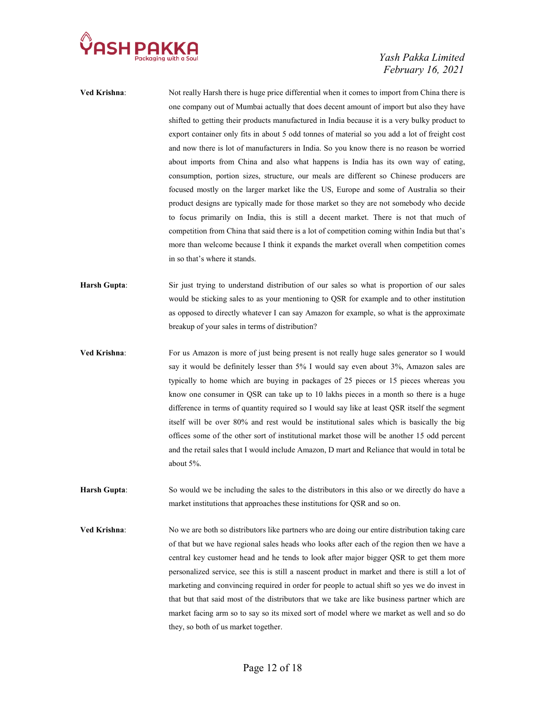

- Ved Krishna: Not really Harsh there is huge price differential when it comes to import from China there is one company out of Mumbai actually that does decent amount of import but also they have shifted to getting their products manufactured in India because it is a very bulky product to export container only fits in about 5 odd tonnes of material so you add a lot of freight cost and now there is lot of manufacturers in India. So you know there is no reason be worried about imports from China and also what happens is India has its own way of eating, consumption, portion sizes, structure, our meals are different so Chinese producers are focused mostly on the larger market like the US, Europe and some of Australia so their product designs are typically made for those market so they are not somebody who decide to focus primarily on India, this is still a decent market. There is not that much of competition from China that said there is a lot of competition coming within India but that's more than welcome because I think it expands the market overall when competition comes in so that's where it stands.
- Harsh Gupta: Sir just trying to understand distribution of our sales so what is proportion of our sales would be sticking sales to as your mentioning to QSR for example and to other institution as opposed to directly whatever I can say Amazon for example, so what is the approximate breakup of your sales in terms of distribution?
- Ved Krishna: For us Amazon is more of just being present is not really huge sales generator so I would say it would be definitely lesser than 5% I would say even about 3%, Amazon sales are typically to home which are buying in packages of 25 pieces or 15 pieces whereas you know one consumer in QSR can take up to 10 lakhs pieces in a month so there is a huge difference in terms of quantity required so I would say like at least QSR itself the segment itself will be over 80% and rest would be institutional sales which is basically the big offices some of the other sort of institutional market those will be another 15 odd percent and the retail sales that I would include Amazon, D mart and Reliance that would in total be about 5%.
- Harsh Gupta: So would we be including the sales to the distributors in this also or we directly do have a market institutions that approaches these institutions for QSR and so on.
- Ved Krishna: No we are both so distributors like partners who are doing our entire distribution taking care of that but we have regional sales heads who looks after each of the region then we have a central key customer head and he tends to look after major bigger QSR to get them more personalized service, see this is still a nascent product in market and there is still a lot of marketing and convincing required in order for people to actual shift so yes we do invest in that but that said most of the distributors that we take are like business partner which are market facing arm so to say so its mixed sort of model where we market as well and so do they, so both of us market together.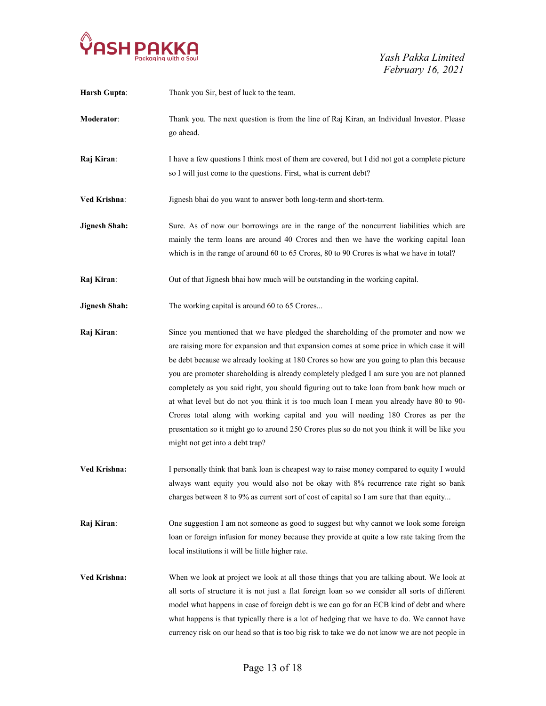

| <b>Harsh Gupta:</b>  | Thank you Sir, best of luck to the team.                                                                                                                                                                                                                                                                                                                                                                                                                                                                                                                                                                                                                                                                                                                                                         |
|----------------------|--------------------------------------------------------------------------------------------------------------------------------------------------------------------------------------------------------------------------------------------------------------------------------------------------------------------------------------------------------------------------------------------------------------------------------------------------------------------------------------------------------------------------------------------------------------------------------------------------------------------------------------------------------------------------------------------------------------------------------------------------------------------------------------------------|
| Moderator:           | Thank you. The next question is from the line of Raj Kiran, an Individual Investor. Please<br>go ahead.                                                                                                                                                                                                                                                                                                                                                                                                                                                                                                                                                                                                                                                                                          |
| Raj Kiran:           | I have a few questions I think most of them are covered, but I did not got a complete picture<br>so I will just come to the questions. First, what is current debt?                                                                                                                                                                                                                                                                                                                                                                                                                                                                                                                                                                                                                              |
| Ved Krishna:         | Jignesh bhai do you want to answer both long-term and short-term.                                                                                                                                                                                                                                                                                                                                                                                                                                                                                                                                                                                                                                                                                                                                |
| <b>Jignesh Shah:</b> | Sure. As of now our borrowings are in the range of the noncurrent liabilities which are<br>mainly the term loans are around 40 Crores and then we have the working capital loan<br>which is in the range of around 60 to 65 Crores, 80 to 90 Crores is what we have in total?                                                                                                                                                                                                                                                                                                                                                                                                                                                                                                                    |
| Raj Kiran:           | Out of that Jignesh bhai how much will be outstanding in the working capital.                                                                                                                                                                                                                                                                                                                                                                                                                                                                                                                                                                                                                                                                                                                    |
| <b>Jignesh Shah:</b> | The working capital is around 60 to 65 Crores                                                                                                                                                                                                                                                                                                                                                                                                                                                                                                                                                                                                                                                                                                                                                    |
| Raj Kiran:           | Since you mentioned that we have pledged the shareholding of the promoter and now we<br>are raising more for expansion and that expansion comes at some price in which case it will<br>be debt because we already looking at 180 Crores so how are you going to plan this because<br>you are promoter shareholding is already completely pledged I am sure you are not planned<br>completely as you said right, you should figuring out to take loan from bank how much or<br>at what level but do not you think it is too much loan I mean you already have 80 to 90-<br>Crores total along with working capital and you will needing 180 Crores as per the<br>presentation so it might go to around 250 Crores plus so do not you think it will be like you<br>might not get into a debt trap? |
| Ved Krishna:         | I personally think that bank loan is cheapest way to raise money compared to equity I would<br>always want equity you would also not be okay with 8% recurrence rate right so bank<br>charges between 8 to 9% as current sort of cost of capital so I am sure that than equity                                                                                                                                                                                                                                                                                                                                                                                                                                                                                                                   |
| Raj Kiran:           | One suggestion I am not someone as good to suggest but why cannot we look some foreign<br>loan or foreign infusion for money because they provide at quite a low rate taking from the<br>local institutions it will be little higher rate.                                                                                                                                                                                                                                                                                                                                                                                                                                                                                                                                                       |
| Ved Krishna:         | When we look at project we look at all those things that you are talking about. We look at<br>all sorts of structure it is not just a flat foreign loan so we consider all sorts of different<br>model what happens in case of foreign debt is we can go for an ECB kind of debt and where<br>what happens is that typically there is a lot of hedging that we have to do. We cannot have<br>currency risk on our head so that is too big risk to take we do not know we are not people in                                                                                                                                                                                                                                                                                                       |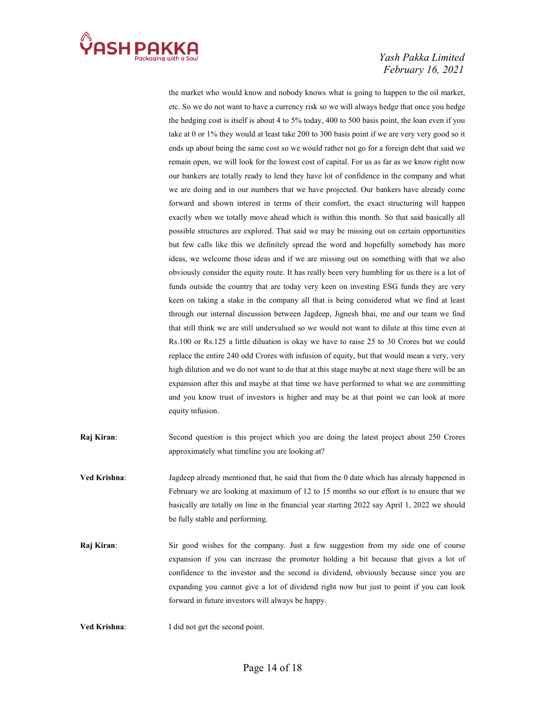

the market who would know and nobody knows what is going to happen to the oil market, etc. So we do not want to have a currency risk so we will always hedge that once you hedge the hedging cost is itself is about 4 to 5% today, 400 to 500 basis point, the loan even if you take at 0 or 1% they would at least take 200 to 300 basis point if we are very very good so it ends up about being the same cost so we would rather not go for a foreign debt that said we remain open, we will look for the lowest cost of capital. For us as far as we know right now our bankers are totally ready to lend they have lot of confidence in the company and what we are doing and in our numbers that we have projected. Our bankers have already come forward and shown interest in terms of their comfort, the exact structuring will happen exactly when we totally move ahead which is within this month. So that said basically all possible structures are explored. That said we may be missing out on certain opportunities but few calls like this we definitely spread the word and hopefully somebody has more ideas, we welcome those ideas and if we are missing out on something with that we also obviously consider the equity route. It has really been very humbling for us there is a lot of funds outside the country that are today very keen on investing ESG funds they are very keen on taking a stake in the company all that is being considered what we find at least through our internal discussion between Jagdeep, Jignesh bhai, me and our team we find that still think we are still undervalued so we would not want to dilute at this time even at Rs.100 or Rs.125 a little diluation is okay we have to raise 25 to 30 Crores but we could replace the entire 240 odd Crores with infusion of equity, but that would mean a very, very high dilution and we do not want to do that at this stage maybe at next stage there will be an expansion after this and maybe at that time we have performed to what we are committing and you know trust of investors is higher and may be at that point we can look at more equity infusion.

- Raj Kiran: Second question is this project which you are doing the latest project about 250 Crores approximately what timeline you are looking at?
- Ved Krishna: Jagdeep already mentioned that, he said that from the 0 date which has already happened in February we are looking at maximum of 12 to 15 months so our effort is to ensure that we basically are totally on line in the financial year starting 2022 say April 1, 2022 we should be fully stable and performing.
- Raj Kiran: Sir good wishes for the company. Just a few suggestion from my side one of course expansion if you can increase the promoter holding a bit because that gives a lot of confidence to the investor and the second is dividend, obviously because since you are expanding you cannot give a lot of dividend right now but just to point if you can look forward in future investors will always be happy.
- Ved Krishna: I did not get the second point.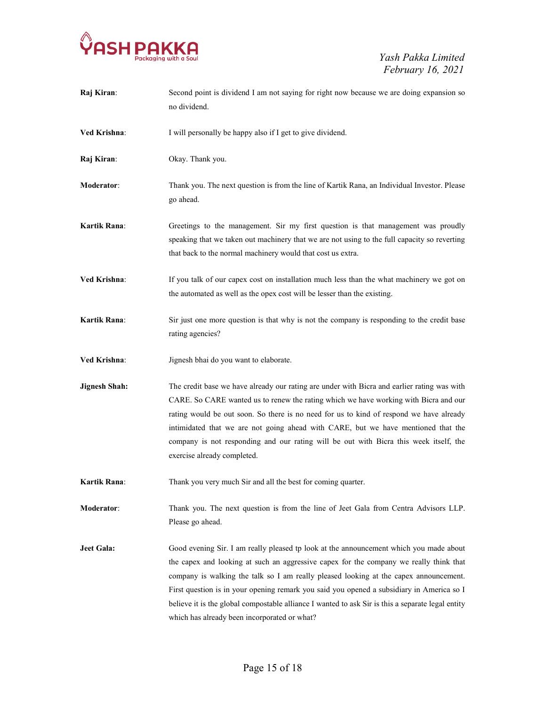

| Raj Kiran:           | Second point is dividend I am not saying for right now because we are doing expansion so<br>no dividend.                                                                                                                                                                                                                                                                                                                                                                                                                    |
|----------------------|-----------------------------------------------------------------------------------------------------------------------------------------------------------------------------------------------------------------------------------------------------------------------------------------------------------------------------------------------------------------------------------------------------------------------------------------------------------------------------------------------------------------------------|
| Ved Krishna:         | I will personally be happy also if I get to give dividend.                                                                                                                                                                                                                                                                                                                                                                                                                                                                  |
| Raj Kiran:           | Okay. Thank you.                                                                                                                                                                                                                                                                                                                                                                                                                                                                                                            |
| Moderator:           | Thank you. The next question is from the line of Kartik Rana, an Individual Investor. Please<br>go ahead.                                                                                                                                                                                                                                                                                                                                                                                                                   |
| <b>Kartik Rana:</b>  | Greetings to the management. Sir my first question is that management was proudly<br>speaking that we taken out machinery that we are not using to the full capacity so reverting<br>that back to the normal machinery would that cost us extra.                                                                                                                                                                                                                                                                            |
| <b>Ved Krishna:</b>  | If you talk of our capex cost on installation much less than the what machinery we got on<br>the automated as well as the opex cost will be lesser than the existing.                                                                                                                                                                                                                                                                                                                                                       |
| Kartik Rana:         | Sir just one more question is that why is not the company is responding to the credit base<br>rating agencies?                                                                                                                                                                                                                                                                                                                                                                                                              |
| Ved Krishna:         | Jignesh bhai do you want to elaborate.                                                                                                                                                                                                                                                                                                                                                                                                                                                                                      |
| <b>Jignesh Shah:</b> | The credit base we have already our rating are under with Bicra and earlier rating was with<br>CARE. So CARE wanted us to renew the rating which we have working with Bicra and our<br>rating would be out soon. So there is no need for us to kind of respond we have already<br>intimidated that we are not going ahead with CARE, but we have mentioned that the<br>company is not responding and our rating will be out with Bicra this week itself, the<br>exercise already completed.                                 |
| <b>Kartik Rana:</b>  | Thank you very much Sir and all the best for coming quarter.                                                                                                                                                                                                                                                                                                                                                                                                                                                                |
| <b>Moderator:</b>    | Thank you. The next question is from the line of Jeet Gala from Centra Advisors LLP.<br>Please go ahead.                                                                                                                                                                                                                                                                                                                                                                                                                    |
| Jeet Gala:           | Good evening Sir. I am really pleased tp look at the announcement which you made about<br>the capex and looking at such an aggressive capex for the company we really think that<br>company is walking the talk so I am really pleased looking at the capex announcement.<br>First question is in your opening remark you said you opened a subsidiary in America so I<br>believe it is the global compostable alliance I wanted to ask Sir is this a separate legal entity<br>which has already been incorporated or what? |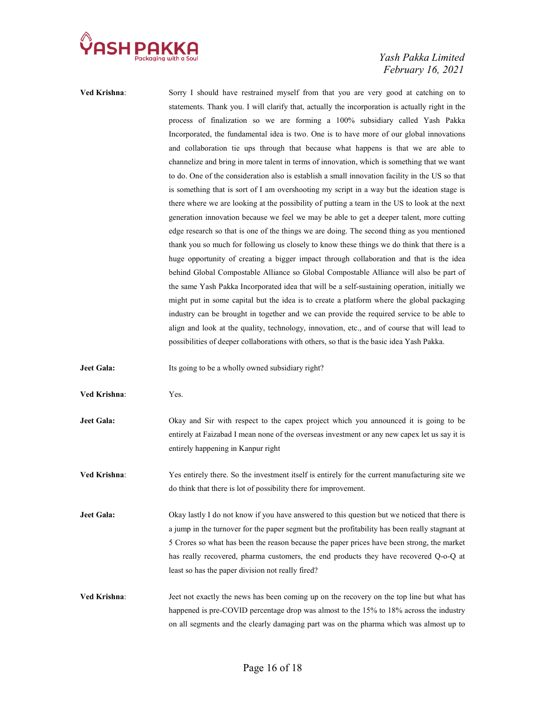

| Ved Krishna:      | Sorry I should have restrained myself from that you are very good at catching on to             |
|-------------------|-------------------------------------------------------------------------------------------------|
|                   | statements. Thank you. I will clarify that, actually the incorporation is actually right in the |
|                   | process of finalization so we are forming a 100% subsidiary called Yash Pakka                   |
|                   | Incorporated, the fundamental idea is two. One is to have more of our global innovations        |
|                   | and collaboration tie ups through that because what happens is that we are able to              |
|                   | channelize and bring in more talent in terms of innovation, which is something that we want     |
|                   | to do. One of the consideration also is establish a small innovation facility in the US so that |
|                   | is something that is sort of I am overshooting my script in a way but the ideation stage is     |
|                   | there where we are looking at the possibility of putting a team in the US to look at the next   |
|                   | generation innovation because we feel we may be able to get a deeper talent, more cutting       |
|                   | edge research so that is one of the things we are doing. The second thing as you mentioned      |
|                   | thank you so much for following us closely to know these things we do think that there is a     |
|                   | huge opportunity of creating a bigger impact through collaboration and that is the idea         |
|                   | behind Global Compostable Alliance so Global Compostable Alliance will also be part of          |
|                   | the same Yash Pakka Incorporated idea that will be a self-sustaining operation, initially we    |
|                   | might put in some capital but the idea is to create a platform where the global packaging       |
|                   | industry can be brought in together and we can provide the required service to be able to       |
|                   | align and look at the quality, technology, innovation, etc., and of course that will lead to    |
|                   |                                                                                                 |
|                   | possibilities of deeper collaborations with others, so that is the basic idea Yash Pakka.       |
|                   |                                                                                                 |
| <b>Jeet Gala:</b> | Its going to be a wholly owned subsidiary right?                                                |
| Ved Krishna:      | Yes.                                                                                            |
|                   |                                                                                                 |
| Jeet Gala:        | Okay and Sir with respect to the capex project which you announced it is going to be            |
|                   | entirely at Faizabad I mean none of the overseas investment or any new capex let us say it is   |
|                   | entirely happening in Kanpur right                                                              |
| Ved Krishna:      | Yes entirely there. So the investment itself is entirely for the current manufacturing site we  |
|                   |                                                                                                 |
|                   | do think that there is lot of possibility there for improvement.                                |
| <b>Jeet Gala:</b> | Okay lastly I do not know if you have answered to this question but we noticed that there is    |
|                   | a jump in the turnover for the paper segment but the profitability has been really stagnant at  |
|                   | 5 Crores so what has been the reason because the paper prices have been strong, the market      |
|                   | has really recovered, pharma customers, the end products they have recovered Q-o-Q at           |
|                   | least so has the paper division not really fired?                                               |

Ved Krishna: Jeet not exactly the news has been coming up on the recovery on the top line but what has happened is pre-COVID percentage drop was almost to the 15% to 18% across the industry on all segments and the clearly damaging part was on the pharma which was almost up to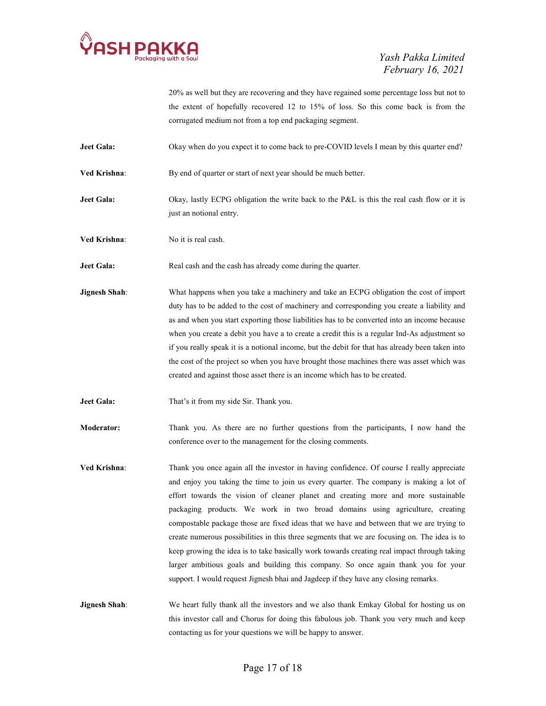

20% as well but they are recovering and they have regained some percentage loss but not to the extent of hopefully recovered 12 to 15% of loss. So this come back is from the corrugated medium not from a top end packaging segment.

Jeet Gala: Okay when do you expect it to come back to pre-COVID levels I mean by this quarter end?

Ved Krishna: By end of quarter or start of next year should be much better.

Jeet Gala: Okay, lastly ECPG obligation the write back to the P&L is this the real cash flow or it is just an notional entry.

Ved Krishna: No it is real cash.

Jeet Gala: Real cash and the cash has already come during the quarter.

**Jignesh Shah:** What happens when you take a machinery and take an ECPG obligation the cost of import duty has to be added to the cost of machinery and corresponding you create a liability and as and when you start exporting those liabilities has to be converted into an income because when you create a debit you have a to create a credit this is a regular Ind-As adjustment so if you really speak it is a notional income, but the debit for that has already been taken into the cost of the project so when you have brought those machines there was asset which was created and against those asset there is an income which has to be created.

Jeet Gala: That's it from my side Sir. Thank you.

Moderator: Thank you. As there are no further questions from the participants, I now hand the conference over to the management for the closing comments.

Ved Krishna: Thank you once again all the investor in having confidence. Of course I really appreciate and enjoy you taking the time to join us every quarter. The company is making a lot of effort towards the vision of cleaner planet and creating more and more sustainable packaging products. We work in two broad domains using agriculture, creating compostable package those are fixed ideas that we have and between that we are trying to create numerous possibilities in this three segments that we are focusing on. The idea is to keep growing the idea is to take basically work towards creating real impact through taking larger ambitious goals and building this company. So once again thank you for your support. I would request Jignesh bhai and Jagdeep if they have any closing remarks.

**Jignesh Shah:** We heart fully thank all the investors and we also thank Emkay Global for hosting us on this investor call and Chorus for doing this fabulous job. Thank you very much and keep contacting us for your questions we will be happy to answer.